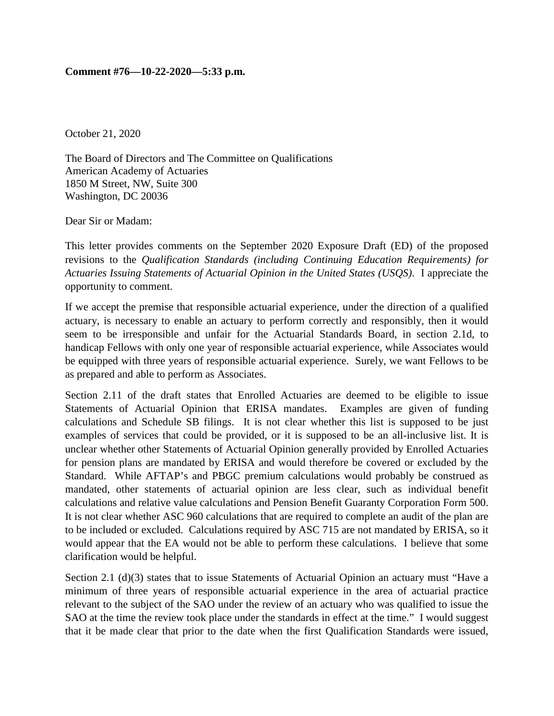## **Comment #76—10-22-2020—5:33 p.m.**

October 21, 2020

The Board of Directors and The Committee on Qualifications American Academy of Actuaries 1850 M Street, NW, Suite 300 Washington, DC 20036

Dear Sir or Madam:

This letter provides comments on the September 2020 Exposure Draft (ED) of the proposed revisions to the *Qualification Standards (including Continuing Education Requirements) for Actuaries Issuing Statements of Actuarial Opinion in the United States (USQS)*. I appreciate the opportunity to comment.

If we accept the premise that responsible actuarial experience, under the direction of a qualified actuary, is necessary to enable an actuary to perform correctly and responsibly, then it would seem to be irresponsible and unfair for the Actuarial Standards Board, in section 2.1d, to handicap Fellows with only one year of responsible actuarial experience, while Associates would be equipped with three years of responsible actuarial experience. Surely, we want Fellows to be as prepared and able to perform as Associates.

Section 2.11 of the draft states that Enrolled Actuaries are deemed to be eligible to issue Statements of Actuarial Opinion that ERISA mandates. Examples are given of funding calculations and Schedule SB filings. It is not clear whether this list is supposed to be just examples of services that could be provided, or it is supposed to be an all-inclusive list. It is unclear whether other Statements of Actuarial Opinion generally provided by Enrolled Actuaries for pension plans are mandated by ERISA and would therefore be covered or excluded by the Standard. While AFTAP's and PBGC premium calculations would probably be construed as mandated, other statements of actuarial opinion are less clear, such as individual benefit calculations and relative value calculations and Pension Benefit Guaranty Corporation Form 500. It is not clear whether ASC 960 calculations that are required to complete an audit of the plan are to be included or excluded. Calculations required by ASC 715 are not mandated by ERISA, so it would appear that the EA would not be able to perform these calculations. I believe that some clarification would be helpful.

Section 2.1 (d)(3) states that to issue Statements of Actuarial Opinion an actuary must "Have a minimum of three years of responsible actuarial experience in the area of actuarial practice relevant to the subject of the SAO under the review of an actuary who was qualified to issue the SAO at the time the review took place under the standards in effect at the time." I would suggest that it be made clear that prior to the date when the first Qualification Standards were issued,